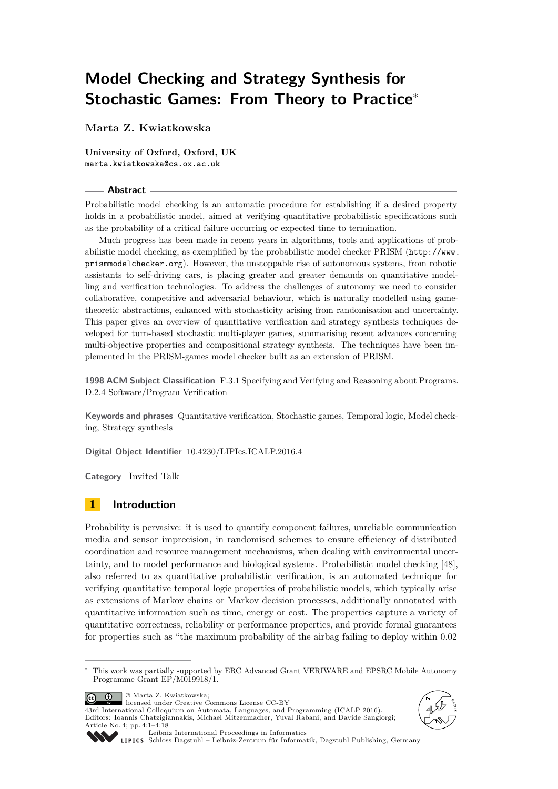# **Model Checking and Strategy Synthesis for Stochastic Games: From Theory to Practice**<sup>∗</sup>

**Marta Z. Kwiatkowska**

**University of Oxford, Oxford, UK marta.kwiatkowska@cs.ox.ac.uk**

### **Abstract**

Probabilistic model checking is an automatic procedure for establishing if a desired property holds in a probabilistic model, aimed at verifying quantitative probabilistic specifications such as the probability of a critical failure occurring or expected time to termination.

Much progress has been made in recent years in algorithms, tools and applications of probabilistic model checking, as exemplified by the probabilistic model checker PRISM ([http://www.](http://www.prismmodelchecker.org) [prismmodelchecker.org](http://www.prismmodelchecker.org)). However, the unstoppable rise of autonomous systems, from robotic assistants to self-driving cars, is placing greater and greater demands on quantitative modelling and verification technologies. To address the challenges of autonomy we need to consider collaborative, competitive and adversarial behaviour, which is naturally modelled using gametheoretic abstractions, enhanced with stochasticity arising from randomisation and uncertainty. This paper gives an overview of quantitative verification and strategy synthesis techniques developed for turn-based stochastic multi-player games, summarising recent advances concerning multi-objective properties and compositional strategy synthesis. The techniques have been implemented in the PRISM-games model checker built as an extension of PRISM.

**1998 ACM Subject Classification** F.3.1 Specifying and Verifying and Reasoning about Programs. D.2.4 Software/Program Verification

**Keywords and phrases** Quantitative verification, Stochastic games, Temporal logic, Model checking, Strategy synthesis

**Digital Object Identifier** [10.4230/LIPIcs.ICALP.2016.4](http://dx.doi.org/10.4230/LIPIcs.ICALP.2016.4)

**Category** Invited Talk

## **1 Introduction**

Probability is pervasive: it is used to quantify component failures, unreliable communication media and sensor imprecision, in randomised schemes to ensure efficiency of distributed coordination and resource management mechanisms, when dealing with environmental uncertainty, and to model performance and biological systems. Probabilistic model checking [\[48\]](#page-16-0), also referred to as quantitative probabilistic verification, is an automated technique for verifying quantitative temporal logic properties of probabilistic models, which typically arise as extensions of Markov chains or Markov decision processes, additionally annotated with quantitative information such as time, energy or cost. The properties capture a variety of quantitative correctness, reliability or performance properties, and provide formal guarantees for properties such as "the maximum probability of the airbag failing to deploy within 0.02

© Marta Z. Kwiatkowska;  $\boxed{6}$   $\boxed{0}$ 



43rd International Colloquium on Automata, Languages, and Programming (ICALP 2016). Editors: Ioannis Chatzigiannakis, Michael Mitzenmacher, Yuval Rabani, and Davide Sangiorgi; Article No. 4; pp. 4:1–4[:18](#page-17-0)





[Leibniz International Proceedings in Informatics](http://www.dagstuhl.de/lipics/)

[Schloss Dagstuhl – Leibniz-Zentrum für Informatik, Dagstuhl Publishing, Germany](http://www.dagstuhl.de)

<sup>∗</sup> This work was partially supported by ERC Advanced Grant VERIWARE and EPSRC Mobile Autonomy Programme Grant EP/M019918/1.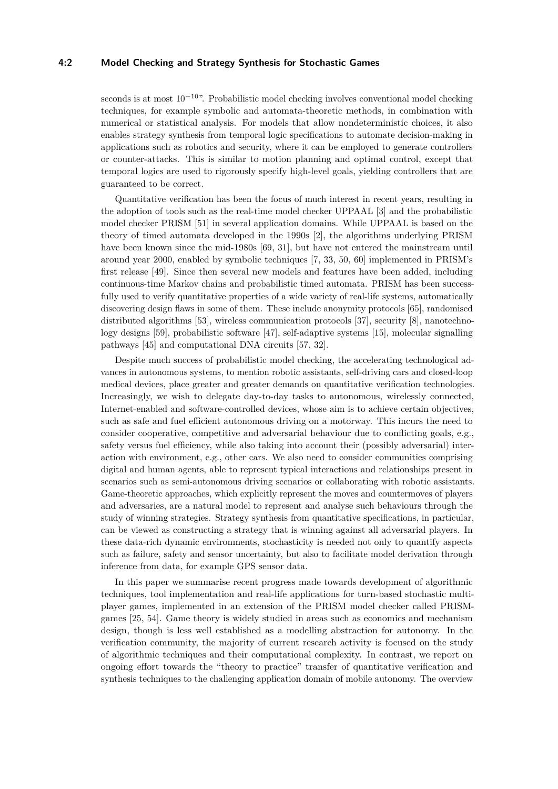### **4:2 Model Checking and Strategy Synthesis for Stochastic Games**

seconds is at most  $10^{-10}$ ". Probabilistic model checking involves conventional model checking techniques, for example symbolic and automata-theoretic methods, in combination with numerical or statistical analysis. For models that allow nondeterministic choices, it also enables strategy synthesis from temporal logic specifications to automate decision-making in applications such as robotics and security, where it can be employed to generate controllers or counter-attacks. This is similar to motion planning and optimal control, except that temporal logics are used to rigorously specify high-level goals, yielding controllers that are guaranteed to be correct.

Quantitative verification has been the focus of much interest in recent years, resulting in the adoption of tools such as the real-time model checker UPPAAL [\[3\]](#page-13-0) and the probabilistic model checker PRISM [\[51\]](#page-16-1) in several application domains. While UPPAAL is based on the theory of timed automata developed in the 1990s [\[2\]](#page-13-1), the algorithms underlying PRISM have been known since the mid-1980s [\[69,](#page-17-1) [31\]](#page-14-0), but have not entered the mainstream until around year 2000, enabled by symbolic techniques [\[7,](#page-13-2) [33,](#page-15-0) [50,](#page-16-2) [60\]](#page-16-3) implemented in PRISM's first release [\[49\]](#page-16-4). Since then several new models and features have been added, including continuous-time Markov chains and probabilistic timed automata. PRISM has been successfully used to verify quantitative properties of a wide variety of real-life systems, automatically discovering design flaws in some of them. These include anonymity protocols [\[65\]](#page-17-2), randomised distributed algorithms [\[53\]](#page-16-5), wireless communication protocols [\[37\]](#page-15-1), security [\[8\]](#page-13-3), nanotechnology designs [\[59\]](#page-16-6), probabilistic software [\[47\]](#page-15-2), self-adaptive systems [\[15\]](#page-14-1), molecular signalling pathways [\[45\]](#page-15-3) and computational DNA circuits [\[57,](#page-16-7) [32\]](#page-15-4).

Despite much success of probabilistic model checking, the accelerating technological advances in autonomous systems, to mention robotic assistants, self-driving cars and closed-loop medical devices, place greater and greater demands on quantitative verification technologies. Increasingly, we wish to delegate day-to-day tasks to autonomous, wirelessly connected, Internet-enabled and software-controlled devices, whose aim is to achieve certain objectives, such as safe and fuel efficient autonomous driving on a motorway. This incurs the need to consider cooperative, competitive and adversarial behaviour due to conflicting goals, e.g., safety versus fuel efficiency, while also taking into account their (possibly adversarial) interaction with environment, e.g., other cars. We also need to consider communities comprising digital and human agents, able to represent typical interactions and relationships present in scenarios such as semi-autonomous driving scenarios or collaborating with robotic assistants. Game-theoretic approaches, which explicitly represent the moves and countermoves of players and adversaries, are a natural model to represent and analyse such behaviours through the study of winning strategies. Strategy synthesis from quantitative specifications, in particular, can be viewed as constructing a strategy that is winning against all adversarial players. In these data-rich dynamic environments, stochasticity is needed not only to quantify aspects such as failure, safety and sensor uncertainty, but also to facilitate model derivation through inference from data, for example GPS sensor data.

In this paper we summarise recent progress made towards development of algorithmic techniques, tool implementation and real-life applications for turn-based stochastic multiplayer games, implemented in an extension of the PRISM model checker called PRISMgames [\[25,](#page-14-2) [54\]](#page-16-8). Game theory is widely studied in areas such as economics and mechanism design, though is less well established as a modelling abstraction for autonomy. In the verification community, the majority of current research activity is focused on the study of algorithmic techniques and their computational complexity. In contrast, we report on ongoing effort towards the "theory to practice" transfer of quantitative verification and synthesis techniques to the challenging application domain of mobile autonomy. The overview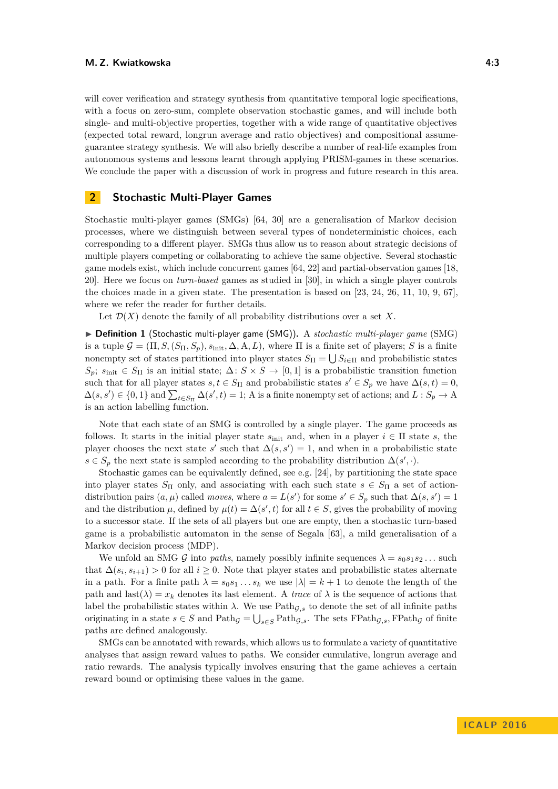will cover verification and strategy synthesis from quantitative temporal logic specifications, with a focus on zero-sum, complete observation stochastic games, and will include both single- and multi-objective properties, together with a wide range of quantitative objectives (expected total reward, longrun average and ratio objectives) and compositional assumeguarantee strategy synthesis. We will also briefly describe a number of real-life examples from autonomous systems and lessons learnt through applying PRISM-games in these scenarios. We conclude the paper with a discussion of work in progress and future research in this area.

# **2 Stochastic Multi-Player Games**

Stochastic multi-player games (SMGs) [\[64,](#page-16-9) [30\]](#page-14-3) are a generalisation of Markov decision processes, where we distinguish between several types of nondeterministic choices, each corresponding to a different player. SMGs thus allow us to reason about strategic decisions of multiple players competing or collaborating to achieve the same objective. Several stochastic game models exist, which include concurrent games [\[64,](#page-16-9) [22\]](#page-14-4) and partial-observation games [\[18,](#page-14-5) [20\]](#page-14-6). Here we focus on *turn-based* games as studied in [\[30\]](#page-14-3), in which a single player controls the choices made in a given state. The presentation is based on [\[23,](#page-14-7) [24,](#page-14-8) [26,](#page-14-9) [11,](#page-13-4) [10,](#page-13-5) [9,](#page-13-6) [67\]](#page-17-3), where we refer the reader for further details.

Let  $\mathcal{D}(X)$  denote the family of all probability distributions over a set X.

▶ **Definition 1** (Stochastic multi-player game (SMG)). A *stochastic multi-player game* (SMG) is a tuple  $\mathcal{G} = (\Pi, S, (S_{\Pi}, S_p), s_{\text{init}}, \Delta, A, L)$ , where  $\Pi$  is a finite set of players; *S* is a finite nonempty set of states partitioned into player states  $S_{\Pi} = \bigcup S_{i \in \Pi}$  and probabilistic states *S*<sub>*p*</sub>; *s*<sub>init</sub> ∈ *S*<sub> $\Pi$ </sub> is an initial state;  $\Delta$ : *S* × *S* → [0*,* 1] is a probabilistic transition function such that for all player states  $s, t \in S_{\Pi}$  and probabilistic states  $s' \in S_p$  we have  $\Delta(s,t) = 0$ ,  $\Delta(s, s') \in \{0, 1\}$  and  $\sum_{t \in S_{\Pi}} \Delta(s', t) = 1$ ; A is a finite nonempty set of actions; and  $L : S_p \to A$ is an action labelling function.

Note that each state of an SMG is controlled by a single player. The game proceeds as follows. It starts in the initial player state  $s_{\text{init}}$  and, when in a player  $i \in \Pi$  state *s*, the player chooses the next state *s*' such that  $\Delta(s, s') = 1$ , and when in a probabilistic state *s* ∈ *S*<sub>*p*</sub> the next state is sampled according to the probability distribution  $\Delta(s', \cdot)$ .

Stochastic games can be equivalently defined, see e.g. [\[24\]](#page-14-8), by partitioning the state space into player states  $S_{\Pi}$  only, and associating with each such state  $s \in S_{\Pi}$  a set of actiondistribution pairs  $(a, \mu)$  called *moves*, where  $a = L(s')$  for some  $s' \in S_p$  such that  $\Delta(s, s') = 1$ and the distribution  $\mu$ , defined by  $\mu(t) = \Delta(s', t)$  for all  $t \in S$ , gives the probability of moving to a successor state. If the sets of all players but one are empty, then a stochastic turn-based game is a probabilistic automaton in the sense of Segala [\[63\]](#page-16-10), a mild generalisation of a Markov decision process (MDP).

We unfold an SMG G into *paths*, namely possibly infinite sequences  $\lambda = s_0 s_1 s_2 \dots$  such that  $\Delta(s_i, s_{i+1}) > 0$  for all  $i \geq 0$ . Note that player states and probabilistic states alternate in a path. For a finite path  $\lambda = s_0 s_1 \dots s_k$  we use  $|\lambda| = k + 1$  to denote the length of the path and last( $\lambda$ ) =  $x_k$  denotes its last element. A *trace* of  $\lambda$  is the sequence of actions that label the probabilistic states within  $\lambda$ . We use Path<sub>G,s</sub> to denote the set of all infinite paths originating in a state  $s \in S$  and  $\text{Path}_{\mathcal{G}} = \bigcup_{s \in S} \text{Path}_{\mathcal{G},s}$ . The sets  $\text{FPath}_{\mathcal{G},s}$ ,  $\text{FPath}_{\mathcal{G}}$  of finite paths are defined analogously.

SMGs can be annotated with rewards, which allows us to formulate a variety of quantitative analyses that assign reward values to paths. We consider cumulative, longrun average and ratio rewards. The analysis typically involves ensuring that the game achieves a certain reward bound or optimising these values in the game.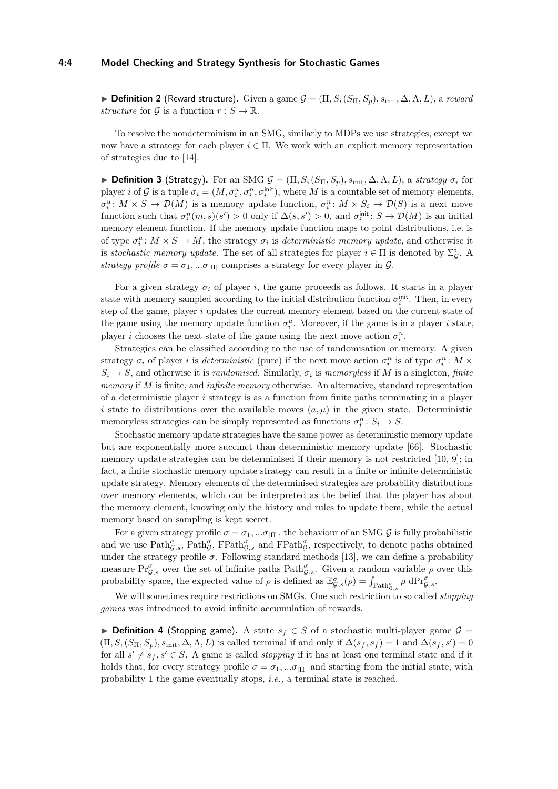#### **4:4 Model Checking and Strategy Synthesis for Stochastic Games**

**► Definition 2** (Reward structure). Given a game  $\mathcal{G} = (\Pi, S, (S_{\Pi}, S_p), s_{\text{init}}, \Delta, A, L)$ , a *reward structure* for G is a function  $r : S \to \mathbb{R}$ .

To resolve the nondeterminism in an SMG, similarly to MDPs we use strategies, except we now have a strategy for each player  $i \in \Pi$ . We work with an explicit memory representation of strategies due to [\[14\]](#page-14-10).

 $▶$  **Definition 3** (Strategy). For an SMG  $G = (\Pi, S, (S_{\Pi}, S_p), s_{\text{init}}, \Delta, A, L)$ , a *strategy*  $\sigma_i$  for player *i* of G is a tuple  $\sigma_i = (M, \sigma_i^u, \sigma_i^n, \sigma_i^{\text{init}})$ , where M is a countable set of memory elements,  $\sigma_i^u: M \times S \to \mathcal{D}(M)$  is a memory update function,  $\sigma_i^n: M \times S_i \to \mathcal{D}(S)$  is a next move function such that  $\sigma_i^n(m, s)(s') > 0$  only if  $\Delta(s, s') > 0$ , and  $\sigma_i^{\text{init}} \colon S \to \mathcal{D}(M)$  is an initial memory element function. If the memory update function maps to point distributions, i.e. is of type  $\sigma_i^u: M \times S \to M$ , the strategy  $\sigma_i$  is *deterministic memory update*, and otherwise it is *stochastic memory update*. The set of all strategies for player  $i \in \Pi$  is denoted by  $\Sigma_{\mathcal{G}}^i$ . A *strategy profile*  $\sigma = \sigma_1, \ldots, \sigma_{\text{III}}$  comprises a strategy for every player in  $\mathcal{G}$ .

For a given strategy  $\sigma_i$  of player *i*, the game proceeds as follows. It starts in a player state with memory sampled according to the initial distribution function  $\sigma_i^{\text{init}}$ . Then, in every step of the game, player *i* updates the current memory element based on the current state of the game using the memory update function  $\sigma_i^u$ . Moreover, if the game is in a player *i* state, player *i* chooses the next state of the game using the next move action  $\sigma_i^n$ .

Strategies can be classified according to the use of randomisation or memory. A given strategy  $\sigma_i$  of player *i* is *deterministic* (pure) if the next move action  $\sigma_i^n$  is of type  $\sigma_i^n$ :  $M \times$  $S_i \rightarrow S$ , and otherwise it is *randomised*. Similarly,  $\sigma_i$  is *memoryless* if M is a singleton, *finite memory* if *M* is finite, and *infinite memory* otherwise. An alternative, standard representation of a deterministic player *i* strategy is as a function from finite paths terminating in a player *i* state to distributions over the available moves  $(a, \mu)$  in the given state. Deterministic memoryless strategies can be simply represented as functions  $\sigma_i^n: S_i \to S$ .

Stochastic memory update strategies have the same power as deterministic memory update but are exponentially more succinct than deterministic memory update [\[66\]](#page-17-4). Stochastic memory update strategies can be determinised if their memory is not restricted [\[10,](#page-13-5) [9\]](#page-13-6); in fact, a finite stochastic memory update strategy can result in a finite or infinite deterministic update strategy. Memory elements of the determinised strategies are probability distributions over memory elements, which can be interpreted as the belief that the player has about the memory element, knowing only the history and rules to update them, while the actual memory based on sampling is kept secret.

For a given strategy profile  $\sigma = \sigma_1, \dots, \sigma_{|\Pi|}$ , the behaviour of an SMG G is fully probabilistic and we use  $\text{Path}_{\mathcal{G},s}^{\sigma}$ ,  $\text{Path}_{\mathcal{G}}^{\sigma}$ ,  $\text{Path}_{\mathcal{G},s}^{\sigma}$  and  $\text{FPath}_{\mathcal{G}}^{\sigma}$ , respectively, to denote paths obtained under the strategy profile  $\sigma$ . Following standard methods [\[13\]](#page-13-7), we can define a probability measure  $Pr_{\mathcal{G},s}^{\sigma}$  over the set of infinite paths  $Path_{\mathcal{G},s}^{\sigma}$ . Given a random variable  $\rho$  over this probability space, the expected value of  $\rho$  is defined as  $\mathbb{E}^{\sigma}_{\mathcal{G},s}(\rho) = \int_{\text{Path}_{\mathcal{G},s}} \rho \, d\text{Pr}_{\mathcal{G},s}^{\sigma}$ .

We will sometimes require restrictions on SMGs. One such restriction to so called *stopping games* was introduced to avoid infinite accumulation of rewards.

**▶ Definition 4** (Stopping game). A state  $s_f \text{ } \in S$  of a stochastic multi-player game  $\mathcal{G} =$  $(\Pi, S, (S_{\Pi}, S_p), s_{\text{init}}, \Delta, A, L)$  is called terminal if and only if  $\Delta(s_f, s_f) = 1$  and  $\Delta(s_f, s') = 0$ for all  $s' \neq s_f, s' \in S$ . A game is called *stopping* if it has at least one terminal state and if it holds that, for every strategy profile  $\sigma = \sigma_1, \dots, \sigma_{\text{III}}$  and starting from the initial state, with probability 1 the game eventually stops, *i.e.,* a terminal state is reached.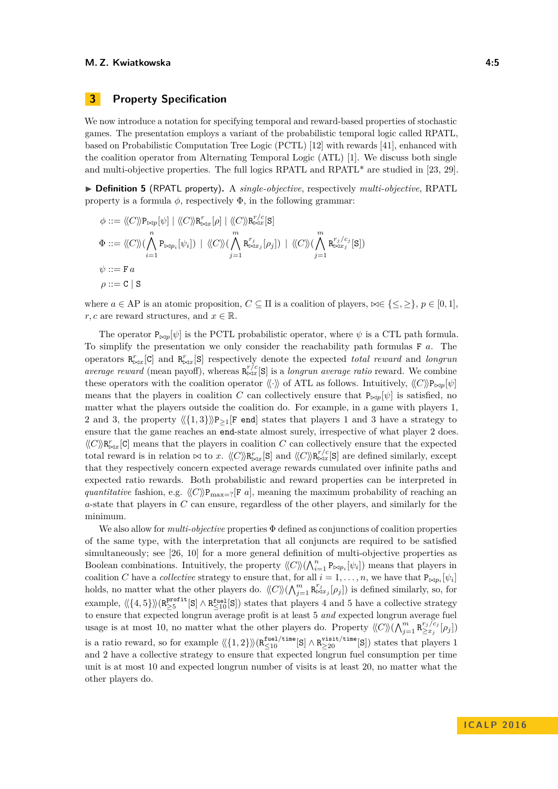# **3 Property Specification**

We now introduce a notation for specifying temporal and reward-based properties of stochastic games. The presentation employs a variant of the probabilistic temporal logic called RPATL, based on Probabilistic Computation Tree Logic (PCTL) [\[12\]](#page-13-8) with rewards [\[41\]](#page-15-5), enhanced with the coalition operator from Alternating Temporal Logic (ATL) [\[1\]](#page-13-9). We discuss both single and multi-objective properties. The full logics RPATL and RPATL\* are studied in [\[23,](#page-14-7) [29\]](#page-14-11).

I **Definition 5** (RPATL property)**.** A *single-objective*, respectively *multi-objective*, RPATL property is a formula  $\phi$ , respectively  $\Phi$ , in the following grammar:

$$
\phi ::= \langle\!\langle C \rangle\!\rangle P_{\bowtie p}[\psi] | \langle\!\langle C \rangle\!\rangle R_{\bowtie x}^r[\rho] | \langle\!\langle C \rangle\!\rangle R_{\bowtie x}^{r/c}[\mathbf{S}]
$$
\n
$$
\Phi ::= \langle\!\langle C \rangle\!\rangle (\bigwedge_{i=1}^n P_{\bowtie p_i}[\psi_i]) | \langle\!\langle C \rangle\!\rangle (\bigwedge_{j=1}^m R_{\bowtie x_j}^{r_j}[\rho_j]) | \langle\!\langle C \rangle\!\rangle (\bigwedge_{j=1}^m R_{\bowtie x_j}^{r_j/c_j}[\mathbf{S}])
$$
\n
$$
\psi ::= \mathbf{F} a
$$
\n
$$
\rho ::= \mathbf{C} \mid \mathbf{S}
$$

where  $a \in AP$  is an atomic proposition,  $C \subseteq \Pi$  is a coalition of players,  $\bowtie \in \{\leq, \geq\}, p \in [0, 1],$ *r*, *c* are reward structures, and  $x \in \mathbb{R}$ .

The operator  $P_{\bowtie p}[\psi]$  is the PCTL probabilistic operator, where  $\psi$  is a CTL path formula. To simplify the presentation we only consider the reachability path formulas F *a*. The operators  $\mathbb{R}^r_{\bowtie x}[\mathcal{C}]$  and  $\mathbb{R}^r_{\bowtie x}[\mathcal{S}]$  respectively denote the expected *total reward* and *longrun average reward* (mean payoff), whereas  $\mathbb{R}_{\infty}^{r/c}[\mathbf{S}]$  is a *longrun average ratio* reward. We combine these operators with the coalition operator  $\langle\langle \cdot \rangle\rangle$  of ATL as follows. Intuitively,  $\langle\langle C \rangle P_{\bowtie p}[\psi]$ means that the players in coalition *C* can collectively ensure that  $P_{\bowtie p}[\psi]$  is satisfied, no matter what the players outside the coalition do. For example, in a game with players 1, 2 and 3, the property  $\langle \{1,3\} \rangle \mathbb{P}_{\geq 1}[F]$  end states that players 1 and 3 have a strategy to ensure that the game reaches an end-state almost surely, irrespective of what player 2 does.  $\langle C \rangle \mathbb{R}^r_{\bowtie x}[\mathsf{C}]$  means that the players in coalition *C* can collectively ensure that the expected total reward is in relation  $\bowtie$  to *x*.  $\langle\langle C \rangle \rangle R_{\bowtie x}^{r}[\mathbf{S}]$  and  $\langle\langle C \rangle \rangle R_{\bowtie x}^{r/c}[\mathbf{S}]$  are defined similarly, except that they respectively concern expected average rewards cumulated over infinite paths and expected ratio rewards. Both probabilistic and reward properties can be interpreted in *quantitative* fashion, e.g.  $\langle C \rangle P_{\text{max}=?}[F a]$ , meaning the maximum probability of reaching an *a*-state that players in *C* can ensure, regardless of the other players, and similarly for the minimum.

We also allow for *multi-objective* properties Φ defined as conjunctions of coalition properties of the same type, with the interpretation that all conjuncts are required to be satisfied simultaneously; see [\[26,](#page-14-9) [10\]](#page-13-5) for a more general definition of multi-objective properties as Boolean combinations. Intuitively, the property  $\langle C \rangle \rangle (\bigwedge_{i=1}^{n} P_{\bowtie p_i}[\psi_i])$  means that players in coalition *C* have a *collective* strategy to ensure that, for all  $i = 1, \ldots, n$ , we have that  $P_{\bowtie p_i}[\psi_i]$ holds, no matter what the other players do.  $\langle\langle C\rangle\rangle(\bigwedge_{j=1}^m \mathsf{R}^{r_j}_{\bowtie x_j}[\rho_j])$  is defined similarly, so, for example,  $\langle \langle \{4, 5\} \rangle \rangle (R_{\geq 5}^{\text{profit}}[S] \wedge R_{\leq 10}^{\text{fuel}}[S])$  states that players 4 and 5 have a collective strategy to ensure that expected longrun average profit is at least 5 *and* expected longrun average fuel usage is at most 10, no matter what the other players do. Property  $\langle C \rangle \rangle (\bigwedge_{j=1}^{m} \mathbb{R}^{r_j/c_j}_{\geq x_j})$  $\sum_{j=1}^{r_j/c_j} [\rho_j]$ is a ratio reward, so for example  $\langle \langle 1, 2 \rangle \rangle \langle R_{\leq 10}^{\text{fuel/time}}[S] \wedge R_{\geq 20}^{\text{visit/time}}[S] \rangle$  states that players 1 and 2 have a collective strategy to ensure that expected longrun fuel consumption per time unit is at most 10 and expected longrun number of visits is at least 20, no matter what the other players do.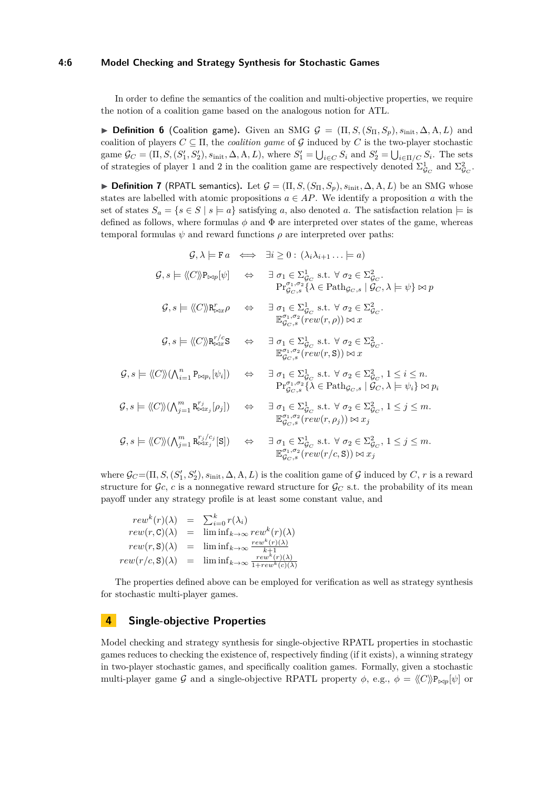#### **4:6 Model Checking and Strategy Synthesis for Stochastic Games**

In order to define the semantics of the coalition and multi-objective properties, we require the notion of a coalition game based on the analogous notion for ATL.

**► Definition 6** (Coalition game). Given an SMG  $\mathcal{G} = (\Pi, S, (S_{\Pi}, S_p), s_{\text{init}}, \Delta, A, L)$  and coalition of players  $C \subseteq \Pi$ , the *coalition game* of G induced by C is the two-player stochastic game  $\mathcal{G}_C = (\Pi, S, (S'_1, S'_2), s_{\text{init}}, \Delta, A, L)$ , where  $S'_1 = \bigcup_{i \in C} S_i$  and  $S'_2 = \bigcup_{i \in \Pi/C} S_i$ . The sets of strategies of player 1 and 2 in the coalition game are respectively denoted  $\Sigma_{\mathcal{G}_C}^1$  and  $\Sigma_{\mathcal{G}_C}^2$ .

▶ **Definition 7** (RPATL semantics). Let  $\mathcal{G} = (\Pi, S, (S_{\Pi}, S_p), s_{\text{init}}, \Delta, A, L)$  be an SMG whose states are labelled with atomic propositions  $a \in AP$ . We identify a proposition *a* with the set of states  $S_a = \{s \in S \mid s \models a\}$  satisfying a, also denoted a. The satisfaction relation  $\models$  is defined as follows, where formulas  $\phi$  and  $\Phi$  are interpreted over states of the game, whereas temporal formulas  $\psi$  and reward functions  $\rho$  are interpreted over paths:

 $\mathcal{G}, \lambda \models \mathbf{F}a \iff \exists i \geq 0 : (\lambda_i \lambda_{i+1} \dots \models a)$  $\mathcal{G}, s \models \langle\!\langle C \rangle\!\rangle P_{\bowtie p}[\psi] \Leftrightarrow \exists \sigma_1 \in \Sigma_{\mathcal{G}_C}^1 \text{ s.t. } \forall \sigma_2 \in \Sigma_{\mathcal{G}_C}^2.$  $\Pr_{\mathcal{G}_C, s}^{\sigma_1, \sigma_2} \{\lambda \in \text{Path}_{\mathcal{G}_C, s} \mid \widetilde{\mathcal{G}_C}, \lambda \models \psi\} \bowtie p$  $\mathcal{G}, s \models \langle\!\langle C \rangle\!\rangle \mathbf{R}^r_{\bowtie x} \rho \quad \Leftrightarrow \quad \exists \sigma_1 \in \Sigma^1_{\mathcal{G}_C} \text{ s.t. } \forall \sigma_2 \in \Sigma^2_{\mathcal{G}_C}.$  $\mathbb{E}_{\mathcal{G}_C,s}^{\sigma_1,\sigma_2}(rew(r,\rho)) \bowtie x$  $\mathcal{G}, s \models \langle\!\langle C \rangle\!\rangle \mathsf{R}^{r/c}_{\bowtie x} \mathsf{S} \quad \Leftrightarrow \quad \exists \; \sigma_1 \in \Sigma^1_{\mathcal{G}_C} \text{ s.t. } \forall \; \sigma_2 \in \Sigma^2_{\mathcal{G}_C}.$  $\mathbb{E}_{\mathcal{G}_C,s}^{\sigma_1,\sigma_2}(\mathit{rew}(r,\mathbf{S})) \bowtie x$  $\mathcal{G}, s \models \langle\!\langle C \rangle\!\rangle (\bigwedge_{i=1}^n \mathsf{P}_{\bowtie p_i}[\psi_i]) \quad \Leftrightarrow \quad \exists \sigma_1 \in \Sigma_{\mathcal{G}_C}^1 \text{ s.t. } \forall \sigma_2 \in \Sigma_{\mathcal{G}_C}^2, 1 \leq i \leq n.$  $\Pr_{\mathcal{G}_C, s}^{\sigma_1, \sigma_2} \{\lambda \in \text{Path}_{\mathcal{G}_C, s} \mid \widetilde{\mathcal{G}_C}, \lambda \models \psi_i\} \bowtie p_i$  $\mathcal{G}, s \models \langle\!\langle C \rangle\!\rangle (\bigwedge_{j=1}^m \mathsf{R}^{r_j}_{\bowtie x_j} [\rho_j]) \quad \Leftrightarrow \quad \exists \sigma_1 \in \Sigma_{\mathcal{G}_C}^1 \text{ s.t. } \forall \sigma_2 \in \Sigma_{\mathcal{G}_C}^2, 1 \leq j \leq m.$  $\mathbb{E}_{\mathcal{G}_C,s}^{\sigma_1,\sigma_2}(rew(r,\rho_j)) \bowtie x_j$  $\mathcal{G}, s \models \langle\!\langle C \rangle\!\rangle (\bigwedge_{j=1}^m \mathsf{R}^{r_j/c_j}_{\bowtie x_j} [\mathbf{S}]) \quad \Leftrightarrow \quad \exists \sigma_1 \in \Sigma_{\mathcal{G}_C}^1 \text{ s.t. } \forall \sigma_2 \in \Sigma_{\mathcal{G}_C}^2, 1 \leq j \leq m.$  $\mathbb{E}_{\mathcal{G}_C,s}^{\sigma_1,\sigma_2}(\mathit{rew}(r/c,\mathbf{S})) \bowtie x_j$ 

where  $\mathcal{G}_C = (\Pi, S, (S'_1, S'_2), s_{\text{init}}, \Delta, A, L)$  is the coalition game of G induced by C, r is a reward structure for  $\mathcal{G}_c$ , *c* is a nonnegative reward structure for  $\mathcal{G}_c$  s.t. the probability of its mean payoff under any strategy profile is at least some constant value, and

$$
rew^{k}(r)(\lambda) = \sum_{i=0}^{k} r(\lambda_{i})
$$
  
\n
$$
rew(r, \mathbf{C})(\lambda) = \lim_{\lambda \to \infty} rew^{k}(r)(\lambda)
$$
  
\n
$$
rew(r, \mathbf{S})(\lambda) = \lim_{k \to \infty} \frac{rew^{k}(r)(\lambda)}{k+1}
$$
  
\n
$$
rew(r/c, \mathbf{S})(\lambda) = \lim_{k \to \infty} \frac{rew^{k}(r)(\lambda)}{1+rew^{k}(c)(\lambda)}
$$

The properties defined above can be employed for verification as well as strategy synthesis for stochastic multi-player games.

# **4 Single-objective Properties**

Model checking and strategy synthesis for single-objective RPATL properties in stochastic games reduces to checking the existence of, respectively finding (if it exists), a winning strategy in two-player stochastic games, and specifically coalition games. Formally, given a stochastic multi-player game G and a single-objective RPATL property  $\phi$ , e.g.,  $\phi = \langle C \rangle P_{\bowtie p}[\psi]$  or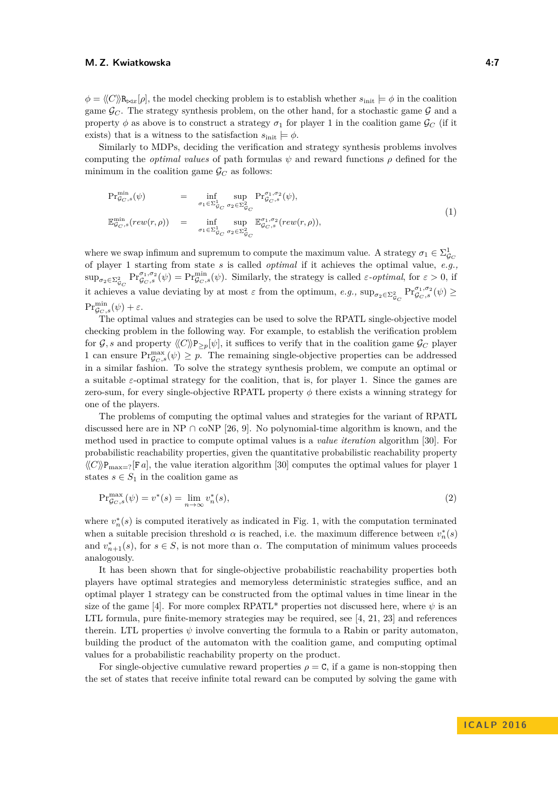$\phi = \langle C \rangle \mathbb{R}_{\text{max}}[\rho]$ , the model checking problem is to establish whether  $s_{\text{init}} \models \phi$  in the coalition game  $\mathcal{G}_C$ . The strategy synthesis problem, on the other hand, for a stochastic game  $\mathcal G$  and a property  $\phi$  as above is to construct a strategy  $\sigma_1$  for player 1 in the coalition game  $\mathcal{G}_C$  (if it exists) that is a witness to the satisfaction  $s_{\text{init}} \models \phi$ .

Similarly to MDPs, deciding the verification and strategy synthesis problems involves computing the *optimal values* of path formulas  $\psi$  and reward functions  $\rho$  defined for the minimum in the coalition game  $\mathcal{G}_C$  as follows:

$$
\begin{array}{rcl}\n\Pr_{\mathcal{G}_C,s}^{\min}(\psi) & = & \inf_{\sigma_1 \in \Sigma_{\mathcal{G}_C}^1} \sup_{\sigma_2 \in \Sigma_{\mathcal{G}_C}^2} \Pr_{\mathcal{G}_C,s}^{\sigma_1, \sigma_2}(\psi), \\
\mathbb{E}_{\mathcal{G}_C,s}^{\min}(rew(r,\rho)) & = & \inf_{\sigma_1 \in \Sigma_{\mathcal{G}_C}^1} \sup_{\sigma_2 \in \Sigma_{\mathcal{G}_C}^2} \mathbb{E}_{\mathcal{G}_C,s}^{\sigma_1, \sigma_2}(rew(r,\rho)),\n\end{array} \tag{1}
$$

where we swap infimum and supremum to compute the maximum value. A strategy  $\sigma_1 \in \Sigma^1_{\mathcal{G}_C}$ of player 1 starting from state *s* is called *optimal* if it achieves the optimal value, *e.g.,*  $\sup_{\sigma_2 \in \Sigma^2_{\mathcal{G}_C}} \Pr^{\sigma_1, \sigma_2}_{\mathcal{G}_C, s}(\psi) = \Pr^{\min}_{\mathcal{G}_C, s}(\psi)$ . Similarly, the strategy is called *ε*-*optimal*, for  $\varepsilon > 0$ , if it achieves a value deviating by at most  $\varepsilon$  from the optimum,  $e.g., \sup_{\sigma_2 \in \Sigma^2_{g_C}} \Pr_{g_C, s}^{\sigma_1, \sigma_2}(\psi) \ge$  $\Pr^{\min}_{\mathcal{G}_C,s}(\psi) + \varepsilon.$ 

The optimal values and strategies can be used to solve the RPATL single-objective model checking problem in the following way. For example, to establish the verification problem for  $\mathcal{G}, s$  and property  $\langle C \rangle \mathcal{P}_{\geq p}[\psi]$ , it suffices to verify that in the coalition game  $\mathcal{G}_C$  player 1 can ensure  $Pr_{\mathcal{G}_C,s}^{\max}(\psi) \geq p$ . The remaining single-objective properties can be addressed in a similar fashion. To solve the strategy synthesis problem, we compute an optimal or a suitable *ε*-optimal strategy for the coalition, that is, for player 1. Since the games are zero-sum, for every single-objective RPATL property  $\phi$  there exists a winning strategy for one of the players.

The problems of computing the optimal values and strategies for the variant of RPATL discussed here are in NP  $\cap$  coNP [\[26,](#page-14-9) [9\]](#page-13-6). No polynomial-time algorithm is known, and the method used in practice to compute optimal values is a *value iteration* algorithm [\[30\]](#page-14-3). For probabilistic reachability properties, given the quantitative probabilistic reachability property  $\langle\!\langle C \rangle\!\rangle P_{\text{max}=?}[F\,a]$ , the value iteration algorithm [\[30\]](#page-14-3) computes the optimal values for player 1 states  $s \in S_1$  in the coalition game as

$$
\Pr_{\mathcal{G}_C, s}^{\max}(\psi) = v^*(s) = \lim_{n \to \infty} v_n^*(s),\tag{2}
$$

where  $v_n^*(s)$  is computed iteratively as indicated in Fig. [1,](#page-7-0) with the computation terminated when a suitable precision threshold  $\alpha$  is reached, i.e. the maximum difference between  $v_n^*(s)$ and  $v_{n+1}^*(s)$ , for  $s \in S$ , is not more than  $\alpha$ . The computation of minimum values proceeds analogously.

It has been shown that for single-objective probabilistic reachability properties both players have optimal strategies and memoryless deterministic strategies suffice, and an optimal player 1 strategy can be constructed from the optimal values in time linear in the size of the game [\[4\]](#page-13-10). For more complex RPATL<sup>\*</sup> properties not discussed here, where  $\psi$  is an LTL formula, pure finite-memory strategies may be required, see [\[4,](#page-13-10) [21,](#page-14-12) [23\]](#page-14-7) and references therein. LTL properties  $\psi$  involve converting the formula to a Rabin or parity automaton, building the product of the automaton with the coalition game, and computing optimal values for a probabilistic reachability property on the product.

For single-objective cumulative reward properties  $\rho = \mathbf{C}$ , if a game is non-stopping then the set of states that receive infinite total reward can be computed by solving the game with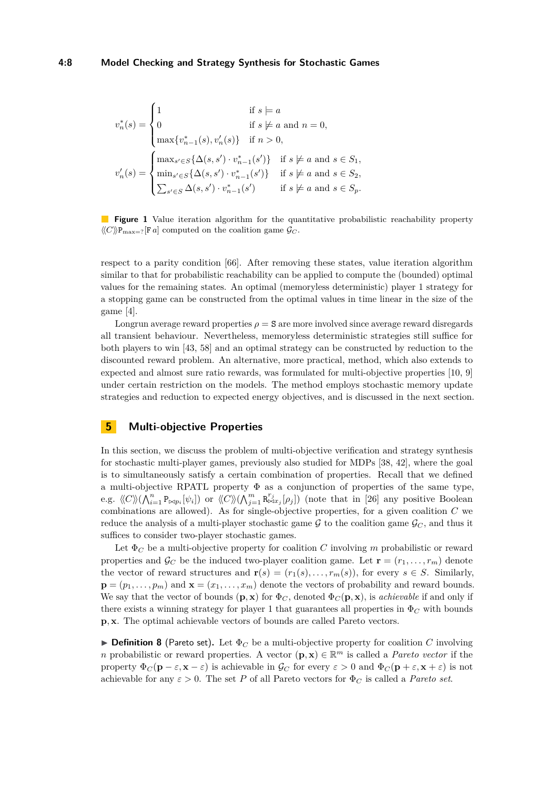<span id="page-7-0"></span>
$$
v_n^*(s) = \begin{cases} 1 & \text{if } s \models a \\ 0 & \text{if } s \not \models a \text{ and } n = 0, \\ \max\{v_{n-1}^*(s), v_n'(s)\} & \text{if } n > 0, \end{cases}
$$

$$
v_n'(s) = \begin{cases} \max_{s' \in S} \{\Delta(s, s') \cdot v_{n-1}^*(s')\} & \text{if } s \not \models a \text{ and } s \in S_1, \\ \min_{s' \in S} \{\Delta(s, s') \cdot v_{n-1}^*(s')\} & \text{if } s \not \models a \text{ and } s \in S_2, \\ \sum_{s' \in S} \Delta(s, s') \cdot v_{n-1}^*(s') & \text{if } s \not \models a \text{ and } s \in S_p. \end{cases}
$$

**Figure 1** Value iteration algorithm for the quantitative probabilistic reachability property  $\langle\langle C \rangle \rangle$ P<sub>max=?</sub>[F *a*] computed on the coalition game  $\mathcal{G}_C$ .

respect to a parity condition [\[66\]](#page-17-4). After removing these states, value iteration algorithm similar to that for probabilistic reachability can be applied to compute the (bounded) optimal values for the remaining states. An optimal (memoryless deterministic) player 1 strategy for a stopping game can be constructed from the optimal values in time linear in the size of the game [\[4\]](#page-13-10).

Longrun average reward properties  $\rho = S$  are more involved since average reward disregards all transient behaviour. Nevertheless, memoryless deterministic strategies still suffice for both players to win [\[43,](#page-15-6) [58\]](#page-16-11) and an optimal strategy can be constructed by reduction to the discounted reward problem. An alternative, more practical, method, which also extends to expected and almost sure ratio rewards, was formulated for multi-objective properties [\[10,](#page-13-5) [9\]](#page-13-6) under certain restriction on the models. The method employs stochastic memory update strategies and reduction to expected energy objectives, and is discussed in the next section.

# **5 Multi-objective Properties**

In this section, we discuss the problem of multi-objective verification and strategy synthesis for stochastic multi-player games, previously also studied for MDPs [\[38,](#page-15-7) [42\]](#page-15-8), where the goal is to simultaneously satisfy a certain combination of properties. Recall that we defined a multi-objective RPATL property Φ as a conjunction of properties of the same type, e.g.  $\langle C \rangle \langle (\bigwedge_{i=1}^{n} P_{\bowtie p_i}[\psi_i])$  or  $\langle C \rangle \langle (\bigwedge_{j=1}^{m} R_{\bowtie x_j}^{r_j}[\rho_j])$  (note that in [\[26\]](#page-14-9) any positive Boolean combinations are allowed). As for single-objective properties, for a given coalition *C* we reduce the analysis of a multi-player stochastic game  $\mathcal G$  to the coalition game  $\mathcal G_C$ , and thus it suffices to consider two-player stochastic games.

Let  $\Phi_C$  be a multi-objective property for coalition *C* involving *m* probabilistic or reward properties and  $\mathcal{G}_C$  be the induced two-player coalition game. Let  $\mathbf{r} = (r_1, \ldots, r_m)$  denote the vector of reward structures and  $\mathbf{r}(s) = (r_1(s), \ldots, r_m(s))$ , for every  $s \in S$ . Similarly,  $\mathbf{p} = (p_1, \ldots, p_m)$  and  $\mathbf{x} = (x_1, \ldots, x_m)$  denote the vectors of probability and reward bounds. We say that the vector of bounds  $(\mathbf{p}, \mathbf{x})$  for  $\Phi_C$ , denoted  $\Phi_C(\mathbf{p}, \mathbf{x})$ , is *achievable* if and only if there exists a winning strategy for player 1 that guarantees all properties in  $\Phi_C$  with bounds **p***,* **x**. The optimal achievable vectors of bounds are called Pareto vectors.

**Definition 8** (Pareto set). Let  $\Phi_C$  be a multi-objective property for coalition *C* involving *n* probabilistic or reward properties. A vector  $(\mathbf{p}, \mathbf{x}) \in \mathbb{R}^m$  is called a *Pareto vector* if the property  $\Phi_C(\mathbf{p} - \varepsilon, \mathbf{x} - \varepsilon)$  is achievable in  $\mathcal{G}_C$  for every  $\varepsilon > 0$  and  $\Phi_C(\mathbf{p} + \varepsilon, \mathbf{x} + \varepsilon)$  is not achievable for any  $\varepsilon > 0$ . The set *P* of all Pareto vectors for  $\Phi_C$  is called a *Pareto set*.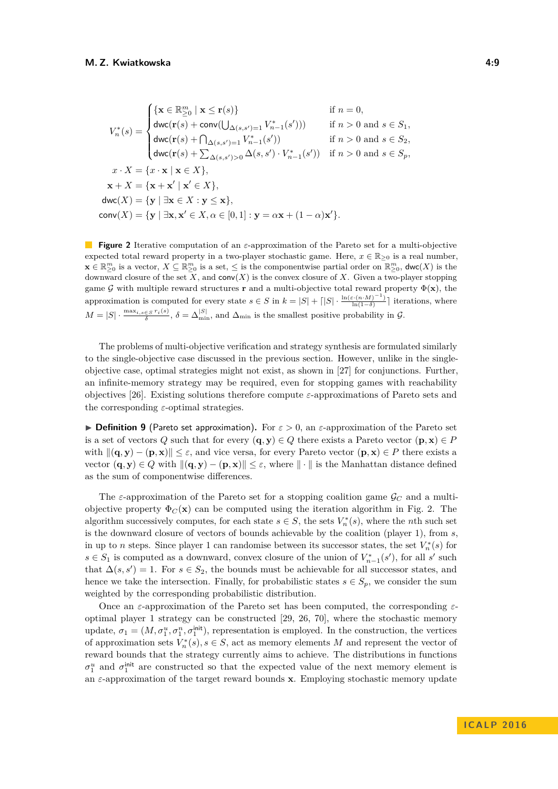<span id="page-8-0"></span>
$$
V_n^*(s) = \begin{cases} \{ \mathbf{x} \in \mathbb{R}_{\geq 0}^m \mid \mathbf{x} \leq \mathbf{r}(s) \} & \text{if } n = 0, \\ \text{dwc}(\mathbf{r}(s) + \text{conv}(\bigcup_{\Delta(s,s')=1} V_{n-1}^*(s'))) & \text{if } n > 0 \text{ and } s \in S_1, \\ \text{dwc}(\mathbf{r}(s) + \bigcap_{\Delta(s,s')=1} V_{n-1}^*(s')) & \text{if } n > 0 \text{ and } s \in S_2, \\ \text{dwc}(\mathbf{r}(s) + \sum_{\Delta(s,s')>0} \Delta(s,s') \cdot V_{n-1}^*(s')) & \text{if } n > 0 \text{ and } s \in S_p, \\ x \cdot X = \{ x \cdot \mathbf{x} \mid \mathbf{x} \in X \}, \\ \mathbf{x} + X = \{ \mathbf{x} + \mathbf{x}' \mid \mathbf{x}' \in X \}, \\ \text{dwc}(X) = \{ \mathbf{y} \mid \exists \mathbf{x} \in X : \mathbf{y} \leq \mathbf{x} \}, \\ \text{conv}(X) = \{ \mathbf{y} \mid \exists \mathbf{x}, \mathbf{x}' \in X, \alpha \in [0, 1] : \mathbf{y} = \alpha \mathbf{x} + (1 - \alpha) \mathbf{x}' \}. \end{cases}
$$

**Figure 2** Iterative computation of an *ε*-approximation of the Pareto set for a multi-objective expected total reward property in a two-player stochastic game. Here,  $x \in \mathbb{R}_{\geq 0}$  is a real number,  $\mathbf{x} \in \mathbb{R}_{\geq 0}^m$  is a vector,  $X \subseteq \mathbb{R}_{\geq 0}^m$  is a set,  $\leq$  is the componentwise partial order on  $\mathbb{R}_{\geq 0}^m$ ,  $\text{dwc}(X)$  is the downward closure of the set  $\overline{X}$ , and conv $(X)$  is the convex closure of  $X$ . Given a two-player stopping game G with multiple reward structures **r** and a multi-objective total reward property  $\Phi(\mathbf{x})$ , the approximation is computed for every state  $s \in S$  in  $k = |S| + \lceil |S| \cdot \frac{\ln(\varepsilon \cdot (n \cdot M)^{-1})}{\ln(1-\delta)} \rceil$  iterations, where  $M = |S| \cdot \frac{\max_{i,s \in S} r_i(s)}{\delta}, \delta = \Delta_{\min}^{|S|}$ , and  $\Delta_{\min}$  is the smallest positive probability in  $\mathcal{G}$ .

The problems of multi-objective verification and strategy synthesis are formulated similarly to the single-objective case discussed in the previous section. However, unlike in the singleobjective case, optimal strategies might not exist, as shown in [\[27\]](#page-14-13) for conjunctions. Further, an infinite-memory strategy may be required, even for stopping games with reachability objectives [\[26\]](#page-14-9). Existing solutions therefore compute *ε*-approximations of Pareto sets and the corresponding *ε*-optimal strategies.

**Definition 9** (Pareto set approximation). For  $\varepsilon > 0$ , an  $\varepsilon$ -approximation of the Pareto set is a set of vectors *Q* such that for every  $(\mathbf{q}, \mathbf{y}) \in Q$  there exists a Pareto vector  $(\mathbf{p}, \mathbf{x}) \in P$ with  $\|(\mathbf{q}, \mathbf{y}) - (\mathbf{p}, \mathbf{x})\| \leq \varepsilon$ , and vice versa, for every Pareto vector  $(\mathbf{p}, \mathbf{x}) \in P$  there exists a vector  $(\mathbf{q}, \mathbf{y}) \in Q$  with  $\|(\mathbf{q}, \mathbf{y}) - (\mathbf{p}, \mathbf{x})\| \leq \varepsilon$ , where  $\| \cdot \|$  is the Manhattan distance defined as the sum of componentwise differences.

The  $\varepsilon$ -approximation of the Pareto set for a stopping coalition game  $\mathcal{G}_C$  and a multiobjective property  $\Phi_C(\mathbf{x})$  can be computed using the iteration algorithm in Fig. [2.](#page-8-0) The algorithm successively computes, for each state  $s \in S$ , the sets  $V_n^*(s)$ , where the *n*th such set is the downward closure of vectors of bounds achievable by the coalition (player 1), from *s*, in up to *n* steps. Since player 1 can randomise between its successor states, the set  $V_n^*(s)$  for *s* ∈ *S*<sub>1</sub> is computed as a downward, convex closure of the union of  $V_{n-1}^*(s')$ , for all *s*' such that  $\Delta(s, s') = 1$ . For  $s \in S_2$ , the bounds must be achievable for all successor states, and hence we take the intersection. Finally, for probabilistic states  $s \in S_p$ , we consider the sum weighted by the corresponding probabilistic distribution.

Once an *ε*-approximation of the Pareto set has been computed, the corresponding *ε*optimal player 1 strategy can be constructed [\[29,](#page-14-11) [26,](#page-14-9) [70\]](#page-17-5), where the stochastic memory update,  $\sigma_1 = (M, \sigma_1^u, \sigma_1^n, \sigma_1^{\text{init}})$ , representation is employed. In the construction, the vertices of approximation sets  $V_n^*(s)$ ,  $s \in S$ , act as memory elements M and represent the vector of reward bounds that the strategy currently aims to achieve. The distributions in functions  $\sigma_1^u$  and  $\sigma_1^{\text{init}}$  are constructed so that the expected value of the next memory element is an *ε*-approximation of the target reward bounds **x**. Employing stochastic memory update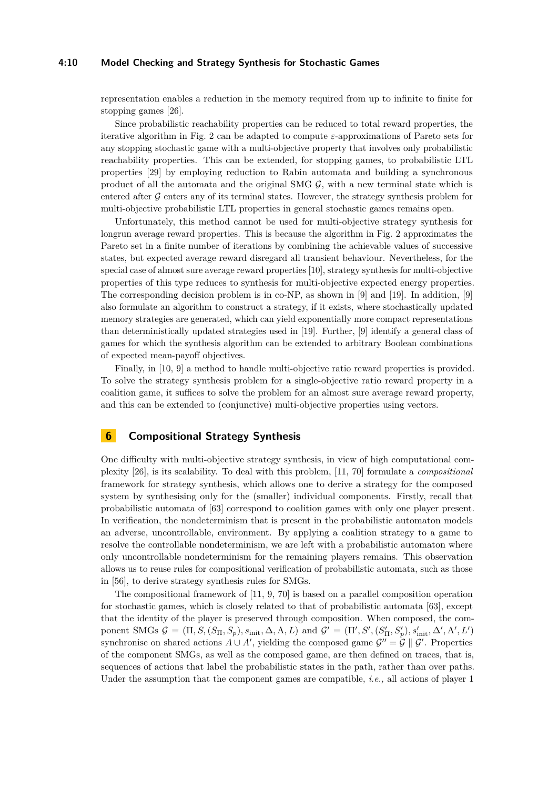### **4:10 Model Checking and Strategy Synthesis for Stochastic Games**

representation enables a reduction in the memory required from up to infinite to finite for stopping games [\[26\]](#page-14-9).

Since probabilistic reachability properties can be reduced to total reward properties, the iterative algorithm in Fig. [2](#page-8-0) can be adapted to compute *ε*-approximations of Pareto sets for any stopping stochastic game with a multi-objective property that involves only probabilistic reachability properties. This can be extended, for stopping games, to probabilistic LTL properties [\[29\]](#page-14-11) by employing reduction to Rabin automata and building a synchronous product of all the automata and the original SMG  $G$ , with a new terminal state which is entered after  $G$  enters any of its terminal states. However, the strategy synthesis problem for multi-objective probabilistic LTL properties in general stochastic games remains open.

Unfortunately, this method cannot be used for multi-objective strategy synthesis for longrun average reward properties. This is because the algorithm in Fig. [2](#page-8-0) approximates the Pareto set in a finite number of iterations by combining the achievable values of successive states, but expected average reward disregard all transient behaviour. Nevertheless, for the special case of almost sure average reward properties [\[10\]](#page-13-5), strategy synthesis for multi-objective properties of this type reduces to synthesis for multi-objective expected energy properties. The corresponding decision problem is in co-NP, as shown in [\[9\]](#page-13-6) and [\[19\]](#page-14-14). In addition, [\[9\]](#page-13-6) also formulate an algorithm to construct a strategy, if it exists, where stochastically updated memory strategies are generated, which can yield exponentially more compact representations than deterministically updated strategies used in [\[19\]](#page-14-14). Further, [\[9\]](#page-13-6) identify a general class of games for which the synthesis algorithm can be extended to arbitrary Boolean combinations of expected mean-payoff objectives.

Finally, in [\[10,](#page-13-5) [9\]](#page-13-6) a method to handle multi-objective ratio reward properties is provided. To solve the strategy synthesis problem for a single-objective ratio reward property in a coalition game, it suffices to solve the problem for an almost sure average reward property, and this can be extended to (conjunctive) multi-objective properties using vectors.

# **6 Compositional Strategy Synthesis**

One difficulty with multi-objective strategy synthesis, in view of high computational complexity [\[26\]](#page-14-9), is its scalability. To deal with this problem, [\[11,](#page-13-4) [70\]](#page-17-5) formulate a *compositional* framework for strategy synthesis, which allows one to derive a strategy for the composed system by synthesising only for the (smaller) individual components. Firstly, recall that probabilistic automata of [\[63\]](#page-16-10) correspond to coalition games with only one player present. In verification, the nondeterminism that is present in the probabilistic automaton models an adverse, uncontrollable, environment. By applying a coalition strategy to a game to resolve the controllable nondeterminism, we are left with a probabilistic automaton where only uncontrollable nondeterminism for the remaining players remains. This observation allows us to reuse rules for compositional verification of probabilistic automata, such as those in [\[56\]](#page-16-12), to derive strategy synthesis rules for SMGs.

The compositional framework of [\[11,](#page-13-4) [9,](#page-13-6) [70\]](#page-17-5) is based on a parallel composition operation for stochastic games, which is closely related to that of probabilistic automata [\[63\]](#page-16-10), except that the identity of the player is preserved through composition. When composed, the component SMGs  $\mathcal{G} = (\Pi, S, (S_{\Pi}, S_p), s_{\text{init}}, \Delta, A, L)$  and  $\mathcal{G}' = (\Pi', S', (S'_{\Pi}, S'_{p}), s'_{\text{init}}, \Delta', A', L')$ synchronise on shared actions  $A \cup A'$ , yielding the composed game  $\mathcal{G}'' = \mathcal{G} \parallel \mathcal{G}'$ . Properties of the component SMGs, as well as the composed game, are then defined on traces, that is, sequences of actions that label the probabilistic states in the path, rather than over paths. Under the assumption that the component games are compatible, *i.e.,* all actions of player 1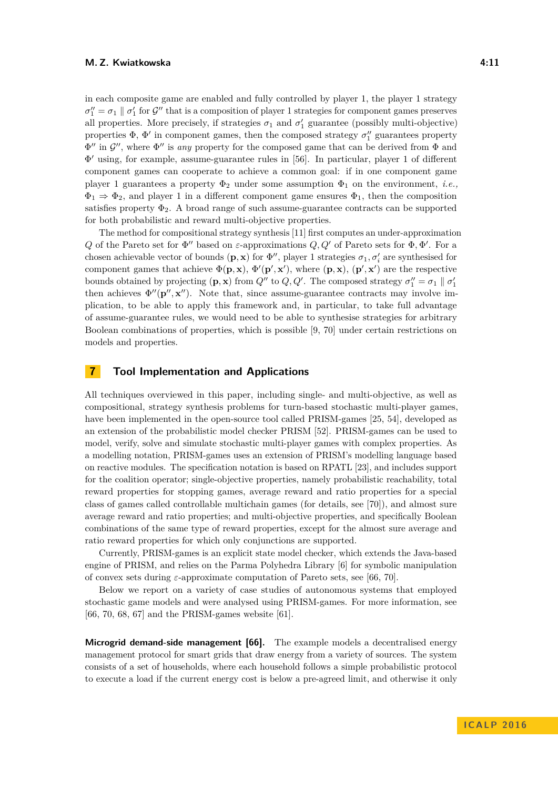in each composite game are enabled and fully controlled by player 1, the player 1 strategy  $\sigma''_1 = \sigma_1 \parallel \sigma'_1$  for  $\mathcal{G}''$  that is a composition of player 1 strategies for component games preserves all properties. More precisely, if strategies  $\sigma_1$  and  $\sigma'_1$  guarantee (possibly multi-objective) properties  $\Phi$ ,  $\Phi'$  in component games, then the composed strategy  $\sigma''_1$  guarantees property  $\Phi''$  in  $\mathcal{G}''$ , where  $\Phi''$  is *any* property for the composed game that can be derived from  $\Phi$  and Φ <sup>0</sup> using, for example, assume-guarantee rules in [\[56\]](#page-16-12). In particular, player 1 of different component games can cooperate to achieve a common goal: if in one component game player 1 guarantees a property  $\Phi_2$  under some assumption  $\Phi_1$  on the environment, *i.e.*,  $\Phi_1 \Rightarrow \Phi_2$ , and player 1 in a different component game ensures  $\Phi_1$ , then the composition satisfies property  $\Phi_2$ . A broad range of such assume-guarantee contracts can be supported for both probabilistic and reward multi-objective properties.

The method for compositional strategy synthesis [\[11\]](#page-13-4) first computes an under-approximation *Q* of the Pareto set for  $\Phi''$  based on *ε*-approximations *Q, Q'* of Pareto sets for  $\Phi$ ,  $\Phi'$ . For a chosen achievable vector of bounds  $(\mathbf{p}, \mathbf{x})$  for  $\Phi''$ , player 1 strategies  $\sigma_1, \sigma'_i$  are synthesised for component games that achieve  $\Phi(\mathbf{p}, \mathbf{x}), \Phi'(\mathbf{p}', \mathbf{x}')$ , where  $(\mathbf{p}, \mathbf{x}), (\mathbf{p}', \mathbf{x}')$  are the respective bounds obtained by projecting  $(\mathbf{p}, \mathbf{x})$  from  $Q''$  to  $Q, Q'$ . The composed strategy  $\sigma''_1 = \sigma_1 \parallel \sigma'_1$ then achieves  $\Phi''(\mathbf{p}'', \mathbf{x}'')$ . Note that, since assume-guarantee contracts may involve implication, to be able to apply this framework and, in particular, to take full advantage of assume-guarantee rules, we would need to be able to synthesise strategies for arbitrary Boolean combinations of properties, which is possible [\[9,](#page-13-6) [70\]](#page-17-5) under certain restrictions on models and properties.

### **7 Tool Implementation and Applications**

All techniques overviewed in this paper, including single- and multi-objective, as well as compositional, strategy synthesis problems for turn-based stochastic multi-player games, have been implemented in the open-source tool called PRISM-games [\[25,](#page-14-2) [54\]](#page-16-8), developed as an extension of the probabilistic model checker PRISM [\[52\]](#page-16-13). PRISM-games can be used to model, verify, solve and simulate stochastic multi-player games with complex properties. As a modelling notation, PRISM-games uses an extension of PRISM's modelling language based on reactive modules. The specification notation is based on RPATL [\[23\]](#page-14-7), and includes support for the coalition operator; single-objective properties, namely probabilistic reachability, total reward properties for stopping games, average reward and ratio properties for a special class of games called controllable multichain games (for details, see [\[70\]](#page-17-5)), and almost sure average reward and ratio properties; and multi-objective properties, and specifically Boolean combinations of the same type of reward properties, except for the almost sure average and ratio reward properties for which only conjunctions are supported.

Currently, PRISM-games is an explicit state model checker, which extends the Java-based engine of PRISM, and relies on the Parma Polyhedra Library [\[6\]](#page-13-11) for symbolic manipulation of convex sets during *ε*-approximate computation of Pareto sets, see [\[66,](#page-17-4) [70\]](#page-17-5).

Below we report on a variety of case studies of autonomous systems that employed stochastic game models and were analysed using PRISM-games. For more information, see [\[66,](#page-17-4) [70,](#page-17-5) [68,](#page-17-6) [67\]](#page-17-3) and the PRISM-games website [\[61\]](#page-16-14).

**Microgrid demand-side management [\[66\]](#page-17-4).** The example models a decentralised energy management protocol for smart grids that draw energy from a variety of sources. The system consists of a set of households, where each household follows a simple probabilistic protocol to execute a load if the current energy cost is below a pre-agreed limit, and otherwise it only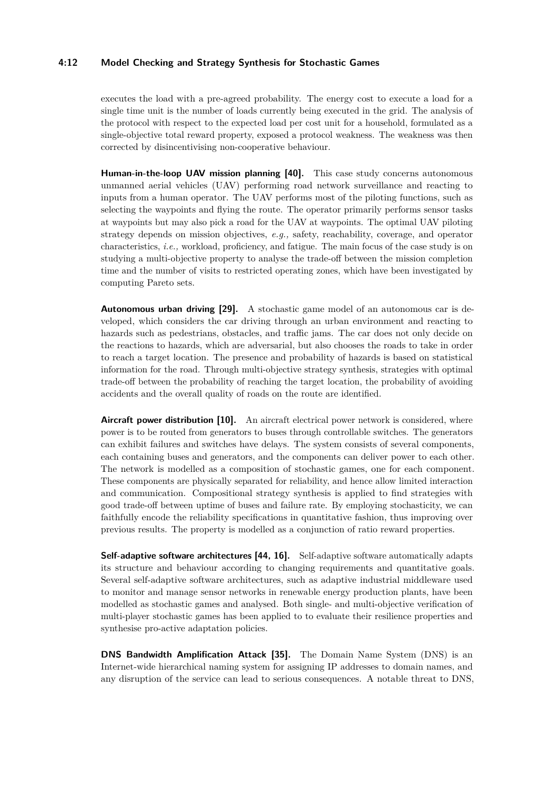### **4:12 Model Checking and Strategy Synthesis for Stochastic Games**

executes the load with a pre-agreed probability. The energy cost to execute a load for a single time unit is the number of loads currently being executed in the grid. The analysis of the protocol with respect to the expected load per cost unit for a household, formulated as a single-objective total reward property, exposed a protocol weakness. The weakness was then corrected by disincentivising non-cooperative behaviour.

**Human-in-the-loop UAV mission planning [\[40\]](#page-15-9).** This case study concerns autonomous unmanned aerial vehicles (UAV) performing road network surveillance and reacting to inputs from a human operator. The UAV performs most of the piloting functions, such as selecting the waypoints and flying the route. The operator primarily performs sensor tasks at waypoints but may also pick a road for the UAV at waypoints. The optimal UAV piloting strategy depends on mission objectives, *e.g.,* safety, reachability, coverage, and operator characteristics, *i.e.,* workload, proficiency, and fatigue. The main focus of the case study is on studying a multi-objective property to analyse the trade-off between the mission completion time and the number of visits to restricted operating zones, which have been investigated by computing Pareto sets.

**Autonomous urban driving [\[29\]](#page-14-11).** A stochastic game model of an autonomous car is developed, which considers the car driving through an urban environment and reacting to hazards such as pedestrians, obstacles, and traffic jams. The car does not only decide on the reactions to hazards, which are adversarial, but also chooses the roads to take in order to reach a target location. The presence and probability of hazards is based on statistical information for the road. Through multi-objective strategy synthesis, strategies with optimal trade-off between the probability of reaching the target location, the probability of avoiding accidents and the overall quality of roads on the route are identified.

**Aircraft power distribution [\[10\]](#page-13-5).** An aircraft electrical power network is considered, where power is to be routed from generators to buses through controllable switches. The generators can exhibit failures and switches have delays. The system consists of several components, each containing buses and generators, and the components can deliver power to each other. The network is modelled as a composition of stochastic games, one for each component. These components are physically separated for reliability, and hence allow limited interaction and communication. Compositional strategy synthesis is applied to find strategies with good trade-off between uptime of buses and failure rate. By employing stochasticity, we can faithfully encode the reliability specifications in quantitative fashion, thus improving over previous results. The property is modelled as a conjunction of ratio reward properties.

**Self-adaptive software architectures [\[44,](#page-15-10) [16\]](#page-14-15).** Self-adaptive software automatically adapts its structure and behaviour according to changing requirements and quantitative goals. Several self-adaptive software architectures, such as adaptive industrial middleware used to monitor and manage sensor networks in renewable energy production plants, have been modelled as stochastic games and analysed. Both single- and multi-objective verification of multi-player stochastic games has been applied to to evaluate their resilience properties and synthesise pro-active adaptation policies.

**DNS Bandwidth Amplification Attack [\[35\]](#page-15-11).** The Domain Name System (DNS) is an Internet-wide hierarchical naming system for assigning IP addresses to domain names, and any disruption of the service can lead to serious consequences. A notable threat to DNS,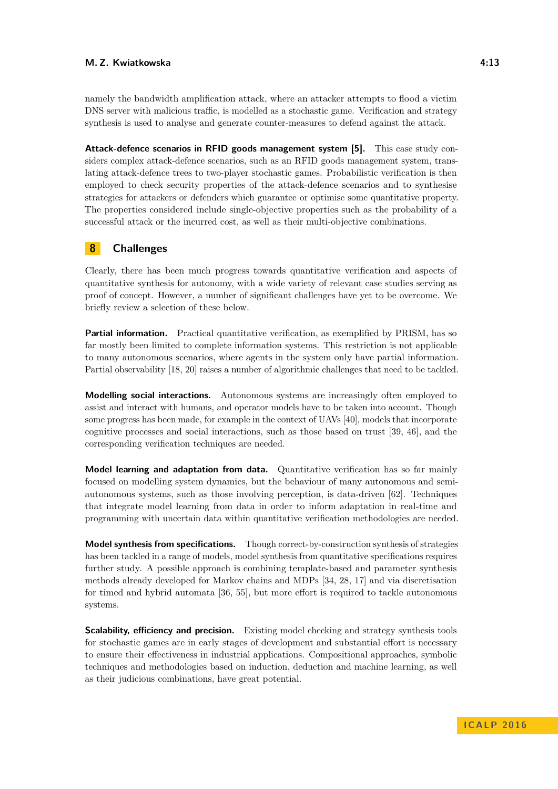namely the bandwidth amplification attack, where an attacker attempts to flood a victim DNS server with malicious traffic, is modelled as a stochastic game. Verification and strategy synthesis is used to analyse and generate counter-measures to defend against the attack.

**Attack-defence scenarios in RFID goods management system [\[5\]](#page-13-12).** This case study considers complex attack-defence scenarios, such as an RFID goods management system, translating attack-defence trees to two-player stochastic games. Probabilistic verification is then employed to check security properties of the attack-defence scenarios and to synthesise strategies for attackers or defenders which guarantee or optimise some quantitative property. The properties considered include single-objective properties such as the probability of a successful attack or the incurred cost, as well as their multi-objective combinations.

# **8 Challenges**

Clearly, there has been much progress towards quantitative verification and aspects of quantitative synthesis for autonomy, with a wide variety of relevant case studies serving as proof of concept. However, a number of significant challenges have yet to be overcome. We briefly review a selection of these below.

**Partial information.** Practical quantitative verification, as exemplified by PRISM, has so far mostly been limited to complete information systems. This restriction is not applicable to many autonomous scenarios, where agents in the system only have partial information. Partial observability [\[18,](#page-14-5) [20\]](#page-14-6) raises a number of algorithmic challenges that need to be tackled.

**Modelling social interactions.** Autonomous systems are increasingly often employed to assist and interact with humans, and operator models have to be taken into account. Though some progress has been made, for example in the context of UAVs [\[40\]](#page-15-9), models that incorporate cognitive processes and social interactions, such as those based on trust [\[39,](#page-15-12) [46\]](#page-15-13), and the corresponding verification techniques are needed.

**Model learning and adaptation from data.** Quantitative verification has so far mainly focused on modelling system dynamics, but the behaviour of many autonomous and semiautonomous systems, such as those involving perception, is data-driven [\[62\]](#page-16-15). Techniques that integrate model learning from data in order to inform adaptation in real-time and programming with uncertain data within quantitative verification methodologies are needed.

**Model synthesis from specifications.** Though correct-by-construction synthesis of strategies has been tackled in a range of models, model synthesis from quantitative specifications requires further study. A possible approach is combining template-based and parameter synthesis methods already developed for Markov chains and MDPs [\[34,](#page-15-14) [28,](#page-14-16) [17\]](#page-14-17) and via discretisation for timed and hybrid automata [\[36,](#page-15-15) [55\]](#page-16-16), but more effort is required to tackle autonomous systems.

**Scalability, efficiency and precision.** Existing model checking and strategy synthesis tools for stochastic games are in early stages of development and substantial effort is necessary to ensure their effectiveness in industrial applications. Compositional approaches, symbolic techniques and methodologies based on induction, deduction and machine learning, as well as their judicious combinations, have great potential.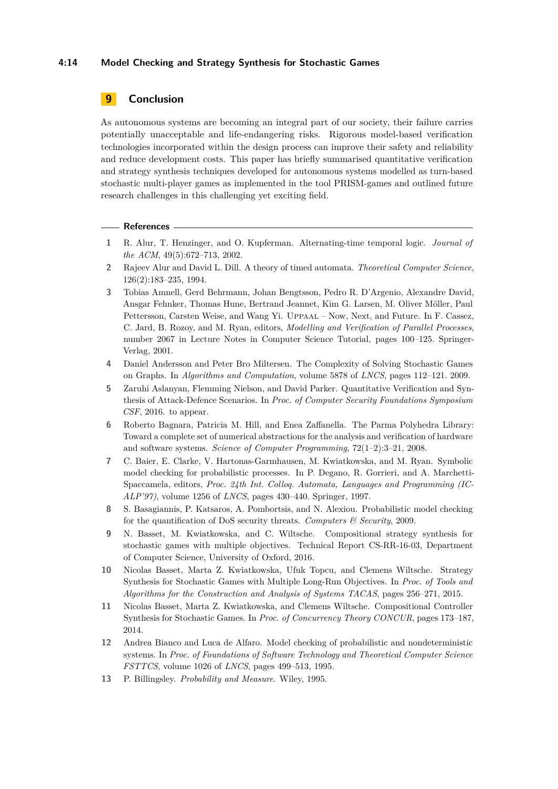### **4:14 Model Checking and Strategy Synthesis for Stochastic Games**

# **9 Conclusion**

As autonomous systems are becoming an integral part of our society, their failure carries potentially unacceptable and life-endangering risks. Rigorous model-based verification technologies incorporated within the design process can improve their safety and reliability and reduce development costs. This paper has briefly summarised quantitative verification and strategy synthesis techniques developed for autonomous systems modelled as turn-based stochastic multi-player games as implemented in the tool PRISM-games and outlined future research challenges in this challenging yet exciting field.

### **References**

- <span id="page-13-9"></span>**1** R. Alur, T. Henzinger, and O. Kupferman. Alternating-time temporal logic. *Journal of the ACM*, 49(5):672–713, 2002.
- <span id="page-13-1"></span>**2** Rajeev Alur and David L. Dill. A theory of timed automata. *Theoretical Computer Science*, 126(2):183–235, 1994.
- <span id="page-13-0"></span>**3** Tobias Amnell, Gerd Behrmann, Johan Bengtsson, Pedro R. D'Argenio, Alexandre David, Ansgar Fehnker, Thomas Hune, Bertrand Jeannet, Kim G. Larsen, M. Oliver Möller, Paul Pettersson, Carsten Weise, and Wang Yi. Uppaal – Now, Next, and Future. In F. Cassez, C. Jard, B. Rozoy, and M. Ryan, editors, *Modelling and Verification of Parallel Processes*, number 2067 in Lecture Notes in Computer Science Tutorial, pages 100–125. Springer-Verlag, 2001.
- <span id="page-13-10"></span>**4** Daniel Andersson and Peter Bro Miltersen. The Complexity of Solving Stochastic Games on Graphs. In *Algorithms and Computation*, volume 5878 of *LNCS*, pages 112–121. 2009.
- <span id="page-13-12"></span>**5** Zaruhi Aslanyan, Flemming Nielson, and David Parker. Quantitative Verification and Synthesis of Attack-Defence Scenarios. In *Proc. of Computer Security Foundations Symposium CSF*, 2016. to appear.
- <span id="page-13-11"></span>**6** Roberto Bagnara, Patricia M. Hill, and Enea Zaffanella. The Parma Polyhedra Library: Toward a complete set of numerical abstractions for the analysis and verification of hardware and software systems. *Science of Computer Programming*, 72(1–2):3–21, 2008.
- <span id="page-13-2"></span>**7** C. Baier, E. Clarke, V. Hartonas-Garmhausen, M. Kwiatkowska, and M. Ryan. Symbolic model checking for probabilistic processes. In P. Degano, R. Gorrieri, and A. Marchetti-Spaccamela, editors, *Proc. 24th Int. Colloq. Automata, Languages and Programming (IC-ALP'97)*, volume 1256 of *LNCS*, pages 430–440. Springer, 1997.
- <span id="page-13-3"></span>**8** S. Basagiannis, P. Katsaros, A. Pombortsis, and N. Alexiou. Probabilistic model checking for the quantification of DoS security threats. *Computers & Security*, 2009.
- <span id="page-13-6"></span>**9** N. Basset, M. Kwiatkowska, and C. Wiltsche. Compositional strategy synthesis for stochastic games with multiple objectives. Technical Report CS-RR-16-03, Department of Computer Science, University of Oxford, 2016.
- <span id="page-13-5"></span>**10** Nicolas Basset, Marta Z. Kwiatkowska, Ufuk Topcu, and Clemens Wiltsche. Strategy Synthesis for Stochastic Games with Multiple Long-Run Objectives. In *Proc. of Tools and Algorithms for the Construction and Analysis of Systems TACAS*, pages 256–271, 2015.
- <span id="page-13-4"></span>**11** Nicolas Basset, Marta Z. Kwiatkowska, and Clemens Wiltsche. Compositional Controller Synthesis for Stochastic Games. In *Proc. of Concurrency Theory CONCUR*, pages 173–187, 2014.
- <span id="page-13-8"></span>**12** Andrea Bianco and Luca de Alfaro. Model checking of probabilistic and nondeterministic systems. In *Proc. of Foundations of Software Technology and Theoretical Computer Science FSTTCS*, volume 1026 of *LNCS*, pages 499–513, 1995.
- <span id="page-13-7"></span>**13** P. Billingsley. *Probability and Measure*. Wiley, 1995.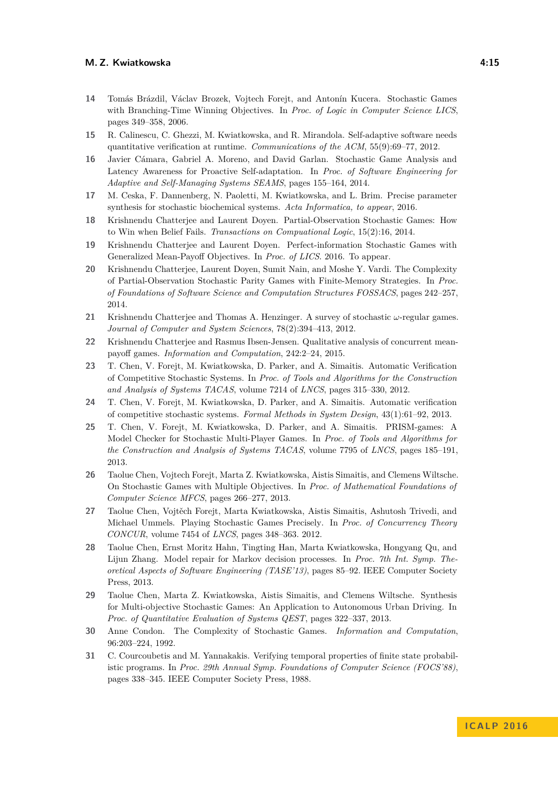- <span id="page-14-10"></span>**14** Tomás Brázdil, Václav Brozek, Vojtech Forejt, and Antonín Kucera. Stochastic Games with Branching-Time Winning Objectives. In *Proc. of Logic in Computer Science LICS*, pages 349–358, 2006.
- <span id="page-14-1"></span>**15** R. Calinescu, C. Ghezzi, M. Kwiatkowska, and R. Mirandola. Self-adaptive software needs quantitative verification at runtime. *Communications of the ACM*, 55(9):69–77, 2012.
- <span id="page-14-15"></span>**16** Javier Cámara, Gabriel A. Moreno, and David Garlan. Stochastic Game Analysis and Latency Awareness for Proactive Self-adaptation. In *Proc. of Software Engineering for Adaptive and Self-Managing Systems SEAMS*, pages 155–164, 2014.
- <span id="page-14-17"></span>**17** M. Ceska, F. Dannenberg, N. Paoletti, M. Kwiatkowska, and L. Brim. Precise parameter synthesis for stochastic biochemical systems. *Acta Informatica, to appear*, 2016.
- <span id="page-14-5"></span>**18** Krishnendu Chatterjee and Laurent Doyen. Partial-Observation Stochastic Games: How to Win when Belief Fails. *Transactions on Compuational Logic*, 15(2):16, 2014.
- <span id="page-14-14"></span>**19** Krishnendu Chatterjee and Laurent Doyen. Perfect-information Stochastic Games with Generalized Mean-Payoff Objectives. In *Proc. of LICS*. 2016. To appear.
- <span id="page-14-6"></span>**20** Krishnendu Chatterjee, Laurent Doyen, Sumit Nain, and Moshe Y. Vardi. The Complexity of Partial-Observation Stochastic Parity Games with Finite-Memory Strategies. In *Proc. of Foundations of Software Science and Computation Structures FOSSACS*, pages 242–257, 2014.
- <span id="page-14-12"></span>**21** Krishnendu Chatterjee and Thomas A. Henzinger. A survey of stochastic *ω*-regular games. *Journal of Computer and System Sciences*, 78(2):394–413, 2012.
- <span id="page-14-4"></span>**22** Krishnendu Chatterjee and Rasmus Ibsen-Jensen. Qualitative analysis of concurrent meanpayoff games. *Information and Computation*, 242:2–24, 2015.
- <span id="page-14-7"></span>**23** T. Chen, V. Forejt, M. Kwiatkowska, D. Parker, and A. Simaitis. Automatic Verification of Competitive Stochastic Systems. In *Proc. of Tools and Algorithms for the Construction and Analysis of Systems TACAS*, volume 7214 of *LNCS*, pages 315–330, 2012.
- <span id="page-14-8"></span>**24** T. Chen, V. Forejt, M. Kwiatkowska, D. Parker, and A. Simaitis. Automatic verification of competitive stochastic systems. *Formal Methods in System Design*, 43(1):61–92, 2013.
- <span id="page-14-2"></span>**25** T. Chen, V. Forejt, M. Kwiatkowska, D. Parker, and A. Simaitis. PRISM-games: A Model Checker for Stochastic Multi-Player Games. In *Proc. of Tools and Algorithms for the Construction and Analysis of Systems TACAS*, volume 7795 of *LNCS*, pages 185–191, 2013.
- <span id="page-14-9"></span>**26** Taolue Chen, Vojtech Forejt, Marta Z. Kwiatkowska, Aistis Simaitis, and Clemens Wiltsche. On Stochastic Games with Multiple Objectives. In *Proc. of Mathematical Foundations of Computer Science MFCS*, pages 266–277, 2013.
- <span id="page-14-13"></span>**27** Taolue Chen, Vojtěch Forejt, Marta Kwiatkowska, Aistis Simaitis, Ashutosh Trivedi, and Michael Ummels. Playing Stochastic Games Precisely. In *Proc. of Concurrency Theory CONCUR*, volume 7454 of *LNCS*, pages 348–363. 2012.
- <span id="page-14-16"></span>**28** Taolue Chen, Ernst Moritz Hahn, Tingting Han, Marta Kwiatkowska, Hongyang Qu, and Lijun Zhang. Model repair for Markov decision processes. In *Proc. 7th Int. Symp. Theoretical Aspects of Software Engineering (TASE'13)*, pages 85–92. IEEE Computer Society Press, 2013.
- <span id="page-14-11"></span>**29** Taolue Chen, Marta Z. Kwiatkowska, Aistis Simaitis, and Clemens Wiltsche. Synthesis for Multi-objective Stochastic Games: An Application to Autonomous Urban Driving. In *Proc. of Quantitative Evaluation of Systems QEST*, pages 322–337, 2013.
- <span id="page-14-3"></span>**30** Anne Condon. The Complexity of Stochastic Games. *Information and Computation*, 96:203–224, 1992.
- <span id="page-14-0"></span>**31** C. Courcoubetis and M. Yannakakis. Verifying temporal properties of finite state probabilistic programs. In *Proc. 29th Annual Symp. Foundations of Computer Science (FOCS'88)*, pages 338–345. IEEE Computer Society Press, 1988.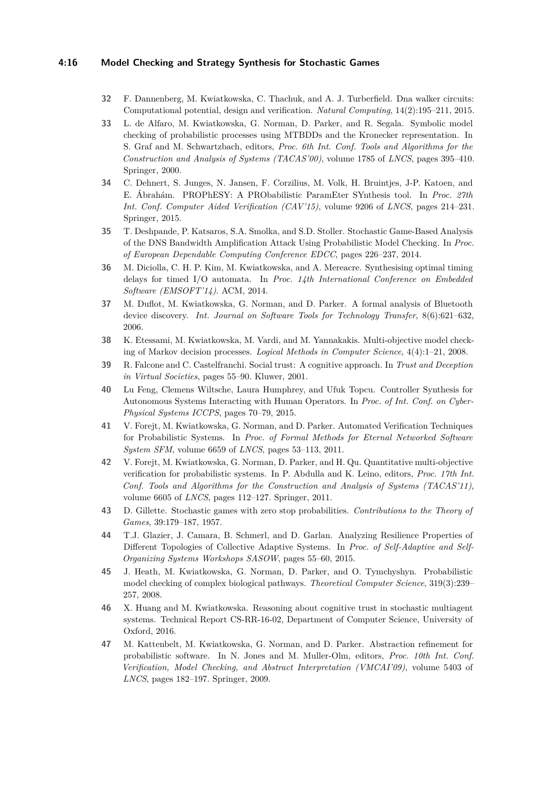### **4:16 Model Checking and Strategy Synthesis for Stochastic Games**

- <span id="page-15-4"></span>**32** F. Dannenberg, M. Kwiatkowska, C. Thachuk, and A. J. Turberfield. Dna walker circuits: Computational potential, design and verification. *Natural Computing*, 14(2):195–211, 2015.
- <span id="page-15-0"></span>**33** L. de Alfaro, M. Kwiatkowska, G. Norman, D. Parker, and R. Segala. Symbolic model checking of probabilistic processes using MTBDDs and the Kronecker representation. In S. Graf and M. Schwartzbach, editors, *Proc. 6th Int. Conf. Tools and Algorithms for the Construction and Analysis of Systems (TACAS'00)*, volume 1785 of *LNCS*, pages 395–410. Springer, 2000.
- <span id="page-15-14"></span>**34** C. Dehnert, S. Junges, N. Jansen, F. Corzilius, M. Volk, H. Bruintjes, J-P. Katoen, and E. Ábrahám. PROPhESY: A PRObabilistic ParamEter SYnthesis tool. In *Proc. 27th Int. Conf. Computer Aided Verification (CAV'15)*, volume 9206 of *LNCS*, pages 214–231. Springer, 2015.
- <span id="page-15-11"></span>**35** T. Deshpande, P. Katsaros, S.A. Smolka, and S.D. Stoller. Stochastic Game-Based Analysis of the DNS Bandwidth Amplification Attack Using Probabilistic Model Checking. In *Proc. of European Dependable Computing Conference EDCC*, pages 226–237, 2014.
- <span id="page-15-15"></span>**36** M. Diciolla, C. H. P. Kim, M. Kwiatkowska, and A. Mereacre. Synthesising optimal timing delays for timed I/O automata. In *Proc. 14th International Conference on Embedded Software (EMSOFT'14)*. ACM, 2014.
- <span id="page-15-1"></span>**37** M. Duflot, M. Kwiatkowska, G. Norman, and D. Parker. A formal analysis of Bluetooth device discovery. *Int. Journal on Software Tools for Technology Transfer*, 8(6):621–632, 2006.
- <span id="page-15-7"></span>**38** K. Etessami, M. Kwiatkowska, M. Vardi, and M. Yannakakis. Multi-objective model checking of Markov decision processes. *Logical Methods in Computer Science*, 4(4):1–21, 2008.
- <span id="page-15-12"></span>**39** R. Falcone and C. Castelfranchi. Social trust: A cognitive approach. In *Trust and Deception in Virtual Societies*, pages 55–90. Kluwer, 2001.
- <span id="page-15-9"></span>**40** Lu Feng, Clemens Wiltsche, Laura Humphrey, and Ufuk Topcu. Controller Synthesis for Autonomous Systems Interacting with Human Operators. In *Proc. of Int. Conf. on Cyber-Physical Systems ICCPS*, pages 70–79, 2015.
- <span id="page-15-5"></span>**41** V. Forejt, M. Kwiatkowska, G. Norman, and D. Parker. Automated Verification Techniques for Probabilistic Systems. In *Proc. of Formal Methods for Eternal Networked Software System SFM*, volume 6659 of *LNCS*, pages 53–113, 2011.
- <span id="page-15-8"></span>**42** V. Forejt, M. Kwiatkowska, G. Norman, D. Parker, and H. Qu. Quantitative multi-objective verification for probabilistic systems. In P. Abdulla and K. Leino, editors, *Proc. 17th Int. Conf. Tools and Algorithms for the Construction and Analysis of Systems (TACAS'11)*, volume 6605 of *LNCS*, pages 112–127. Springer, 2011.
- <span id="page-15-6"></span>**43** D. Gillette. Stochastic games with zero stop probabilities. *Contributions to the Theory of Games*, 39:179–187, 1957.
- <span id="page-15-10"></span>**44** T.J. Glazier, J. Camara, B. Schmerl, and D. Garlan. Analyzing Resilience Properties of Different Topologies of Collective Adaptive Systems. In *Proc. of Self-Adaptive and Self-Organizing Systems Workshops SASOW*, pages 55–60, 2015.
- <span id="page-15-3"></span>**45** J. Heath, M. Kwiatkowska, G. Norman, D. Parker, and O. Tymchyshyn. Probabilistic model checking of complex biological pathways. *Theoretical Computer Science*, 319(3):239– 257, 2008.
- <span id="page-15-13"></span>**46** X. Huang and M. Kwiatkowska. Reasoning about cognitive trust in stochastic multiagent systems. Technical Report CS-RR-16-02, Department of Computer Science, University of Oxford, 2016.
- <span id="page-15-2"></span>**47** M. Kattenbelt, M. Kwiatkowska, G. Norman, and D. Parker. Abstraction refinement for probabilistic software. In N. Jones and M. Muller-Olm, editors, *Proc. 10th Int. Conf. Verification, Model Checking, and Abstract Interpretation (VMCAI'09)*, volume 5403 of *LNCS*, pages 182–197. Springer, 2009.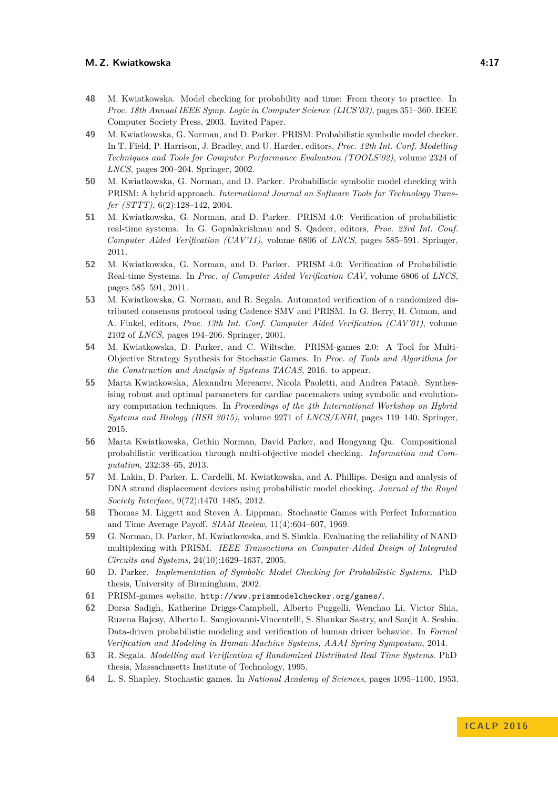- <span id="page-16-0"></span>**48** M. Kwiatkowska. Model checking for probability and time: From theory to practice. In *Proc. 18th Annual IEEE Symp. Logic in Computer Science (LICS'03)*, pages 351–360. IEEE Computer Society Press, 2003. Invited Paper.
- <span id="page-16-4"></span>**49** M. Kwiatkowska, G. Norman, and D. Parker. PRISM: Probabilistic symbolic model checker. In T. Field, P. Harrison, J. Bradley, and U. Harder, editors, *Proc. 12th Int. Conf. Modelling Techniques and Tools for Computer Performance Evaluation (TOOLS'02)*, volume 2324 of *LNCS*, pages 200–204. Springer, 2002.
- <span id="page-16-2"></span>**50** M. Kwiatkowska, G. Norman, and D. Parker. Probabilistic symbolic model checking with PRISM: A hybrid approach. *International Journal on Software Tools for Technology Transfer (STTT)*, 6(2):128–142, 2004.
- <span id="page-16-1"></span>**51** M. Kwiatkowska, G. Norman, and D. Parker. PRISM 4.0: Verification of probabilistic real-time systems. In G. Gopalakrishnan and S. Qadeer, editors, *Proc. 23rd Int. Conf. Computer Aided Verification (CAV'11)*, volume 6806 of *LNCS*, pages 585–591. Springer, 2011.
- <span id="page-16-13"></span>**52** M. Kwiatkowska, G. Norman, and D. Parker. PRISM 4.0: Verification of Probabilistic Real-time Systems. In *Proc. of Computer Aided Verification CAV*, volume 6806 of *LNCS*, pages 585–591, 2011.
- <span id="page-16-5"></span>**53** M. Kwiatkowska, G. Norman, and R. Segala. Automated verification of a randomized distributed consensus protocol using Cadence SMV and PRISM. In G. Berry, H. Comon, and A. Finkel, editors, *Proc. 13th Int. Conf. Computer Aided Verification (CAV'01)*, volume 2102 of *LNCS*, pages 194–206. Springer, 2001.
- <span id="page-16-8"></span>**54** M. Kwiatkowska, D. Parker, and C. Wiltsche. PRISM-games 2.0: A Tool for Multi-Objective Strategy Synthesis for Stochastic Games. In *Proc. of Tools and Algorithms for the Construction and Analysis of Systems TACAS*, 2016. to appear.
- <span id="page-16-16"></span>**55** Marta Kwiatkowska, Alexandru Mereacre, Nicola Paoletti, and Andrea Patanè. Synthesising robust and optimal parameters for cardiac pacemakers using symbolic and evolutionary computation techniques. In *Proceedings of the 4th International Workshop on Hybrid Systems and Biology (HSB 2015)*, volume 9271 of *LNCS/LNBI*, pages 119–140. Springer, 2015.
- <span id="page-16-12"></span>**56** Marta Kwiatkowska, Gethin Norman, David Parker, and Hongyang Qu. Compositional probabilistic verification through multi-objective model checking. *Information and Computation*, 232:38–65, 2013.
- <span id="page-16-7"></span>**57** M. Lakin, D. Parker, L. Cardelli, M. Kwiatkowska, and A. Phillips. Design and analysis of DNA strand displacement devices using probabilistic model checking. *Journal of the Royal Society Interface*, 9(72):1470–1485, 2012.
- <span id="page-16-11"></span>**58** Thomas M. Liggett and Steven A. Lippman. Stochastic Games with Perfect Information and Time Average Payoff. *SIAM Review*, 11(4):604–607, 1969.
- <span id="page-16-6"></span>**59** G. Norman, D. Parker, M. Kwiatkowska, and S. Shukla. Evaluating the reliability of NAND multiplexing with PRISM. *IEEE Transactions on Computer-Aided Design of Integrated Circuits and Systems*, 24(10):1629–1637, 2005.
- <span id="page-16-3"></span>**60** D. Parker. *Implementation of Symbolic Model Checking for Probabilistic Systems*. PhD thesis, University of Birmingham, 2002.
- <span id="page-16-14"></span>**61** PRISM-games website. <http://www.prismmodelchecker.org/games/>.
- <span id="page-16-15"></span>**62** Dorsa Sadigh, Katherine Driggs-Campbell, Alberto Puggelli, Wenchao Li, Victor Shia, Ruzena Bajcsy, Alberto L. Sangiovanni-Vincentelli, S. Shankar Sastry, and Sanjit A. Seshia. Data-driven probabilistic modeling and verification of human driver behavior. In *Formal Verification and Modeling in Human-Machine Systems, AAAI Spring Symposium*, 2014.
- <span id="page-16-10"></span>**63** R. Segala. *Modelling and Verification of Randomized Distributed Real Time Systems*. PhD thesis, Massachusetts Institute of Technology, 1995.
- <span id="page-16-9"></span>**64** L. S. Shapley. Stochastic games. In *National Academy of Sciences*, pages 1095–1100, 1953.